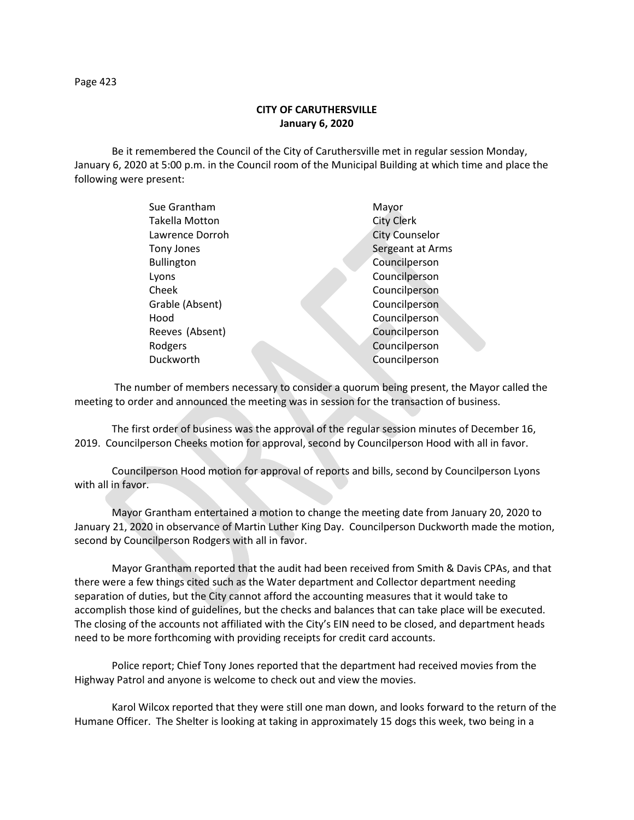Page 423

## **CITY OF CARUTHERSVILLE January 6, 2020**

Be it remembered the Council of the City of Caruthersville met in regular session Monday, January 6, 2020 at 5:00 p.m. in the Council room of the Municipal Building at which time and place the following were present:

| Sue Grantham      | Mayor                 |
|-------------------|-----------------------|
| Takella Motton    | <b>City Clerk</b>     |
| Lawrence Dorroh   | <b>City Counselor</b> |
| Tony Jones        | Sergeant at Arms      |
| <b>Bullington</b> | Councilperson         |
| Lyons             | Councilperson         |
| Cheek             | Councilperson         |
| Grable (Absent)   | Councilperson         |
| Hood              | Councilperson         |
| Reeves (Absent)   | Councilperson         |
| Rodgers           | Councilperson         |
| Duckworth         | Councilperson         |
|                   |                       |

 The number of members necessary to consider a quorum being present, the Mayor called the meeting to order and announced the meeting was in session for the transaction of business.

The first order of business was the approval of the regular session minutes of December 16, 2019. Councilperson Cheeks motion for approval, second by Councilperson Hood with all in favor.

Councilperson Hood motion for approval of reports and bills, second by Councilperson Lyons with all in favor.

Mayor Grantham entertained a motion to change the meeting date from January 20, 2020 to January 21, 2020 in observance of Martin Luther King Day. Councilperson Duckworth made the motion, second by Councilperson Rodgers with all in favor.

Mayor Grantham reported that the audit had been received from Smith & Davis CPAs, and that there were a few things cited such as the Water department and Collector department needing separation of duties, but the City cannot afford the accounting measures that it would take to accomplish those kind of guidelines, but the checks and balances that can take place will be executed. The closing of the accounts not affiliated with the City's EIN need to be closed, and department heads need to be more forthcoming with providing receipts for credit card accounts.

Police report; Chief Tony Jones reported that the department had received movies from the Highway Patrol and anyone is welcome to check out and view the movies.

Karol Wilcox reported that they were still one man down, and looks forward to the return of the Humane Officer. The Shelter is looking at taking in approximately 15 dogs this week, two being in a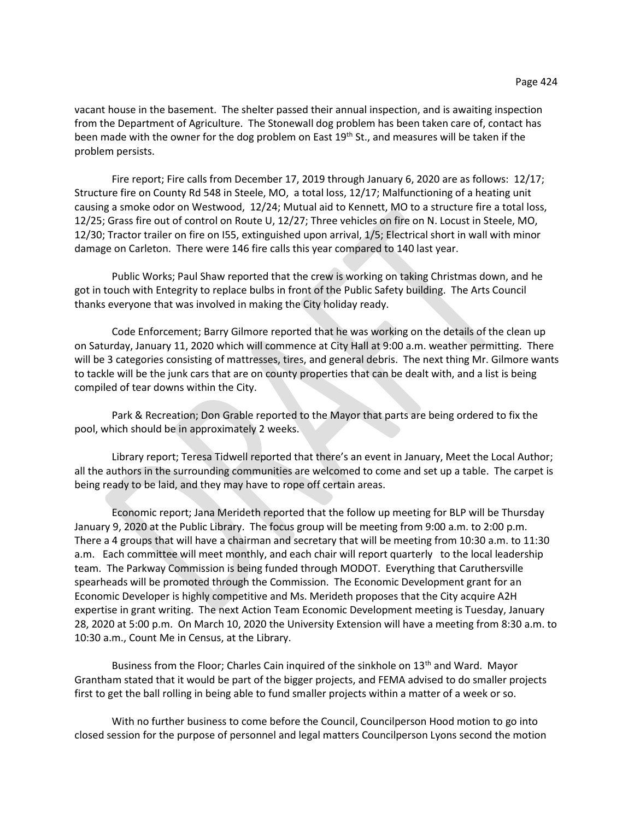vacant house in the basement. The shelter passed their annual inspection, and is awaiting inspection from the Department of Agriculture. The Stonewall dog problem has been taken care of, contact has been made with the owner for the dog problem on East 19<sup>th</sup> St., and measures will be taken if the problem persists.

Fire report; Fire calls from December 17, 2019 through January 6, 2020 are as follows: 12/17; Structure fire on County Rd 548 in Steele, MO, a total loss, 12/17; Malfunctioning of a heating unit causing a smoke odor on Westwood, 12/24; Mutual aid to Kennett, MO to a structure fire a total loss, 12/25; Grass fire out of control on Route U, 12/27; Three vehicles on fire on N. Locust in Steele, MO, 12/30; Tractor trailer on fire on I55, extinguished upon arrival, 1/5; Electrical short in wall with minor damage on Carleton. There were 146 fire calls this year compared to 140 last year.

Public Works; Paul Shaw reported that the crew is working on taking Christmas down, and he got in touch with Entegrity to replace bulbs in front of the Public Safety building. The Arts Council thanks everyone that was involved in making the City holiday ready.

Code Enforcement; Barry Gilmore reported that he was working on the details of the clean up on Saturday, January 11, 2020 which will commence at City Hall at 9:00 a.m. weather permitting. There will be 3 categories consisting of mattresses, tires, and general debris. The next thing Mr. Gilmore wants to tackle will be the junk cars that are on county properties that can be dealt with, and a list is being compiled of tear downs within the City.

Park & Recreation; Don Grable reported to the Mayor that parts are being ordered to fix the pool, which should be in approximately 2 weeks.

Library report; Teresa Tidwell reported that there's an event in January, Meet the Local Author; all the authors in the surrounding communities are welcomed to come and set up a table. The carpet is being ready to be laid, and they may have to rope off certain areas.

Economic report; Jana Merideth reported that the follow up meeting for BLP will be Thursday January 9, 2020 at the Public Library. The focus group will be meeting from 9:00 a.m. to 2:00 p.m. There a 4 groups that will have a chairman and secretary that will be meeting from 10:30 a.m. to 11:30 a.m. Each committee will meet monthly, and each chair will report quarterly to the local leadership team. The Parkway Commission is being funded through MODOT. Everything that Caruthersville spearheads will be promoted through the Commission. The Economic Development grant for an Economic Developer is highly competitive and Ms. Merideth proposes that the City acquire A2H expertise in grant writing. The next Action Team Economic Development meeting is Tuesday, January 28, 2020 at 5:00 p.m. On March 10, 2020 the University Extension will have a meeting from 8:30 a.m. to 10:30 a.m., Count Me in Census, at the Library.

Business from the Floor; Charles Cain inquired of the sinkhole on 13<sup>th</sup> and Ward. Mayor Grantham stated that it would be part of the bigger projects, and FEMA advised to do smaller projects first to get the ball rolling in being able to fund smaller projects within a matter of a week or so.

With no further business to come before the Council, Councilperson Hood motion to go into closed session for the purpose of personnel and legal matters Councilperson Lyons second the motion